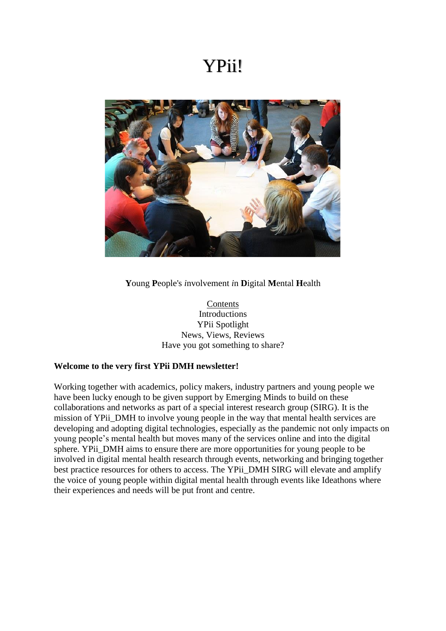### YPii!



**Y**oung **P**eople's *i*nvolvement *i*n **D**igital **M**ental **H**ealth

Contents Introductions YPii Spotlight News, Views, Reviews Have you got something to share?

#### **Welcome to the very first YPii DMH newsletter!**

Working together with academics, policy makers, industry partners and young people we have been lucky enough to be given support by Emerging Minds to build on these collaborations and networks as part of a special interest research group (SIRG). It is the mission of YPii\_DMH to involve young people in the way that mental health services are developing and adopting digital technologies, especially as the pandemic not only impacts on young people's mental health but moves many of the services online and into the digital sphere. YPii\_DMH aims to ensure there are more opportunities for young people to be involved in digital mental health research through events, networking and bringing together best practice resources for others to access. The YPii\_DMH SIRG will elevate and amplify the voice of young people within digital mental health through events like Ideathons where their experiences and needs will be put front and centre.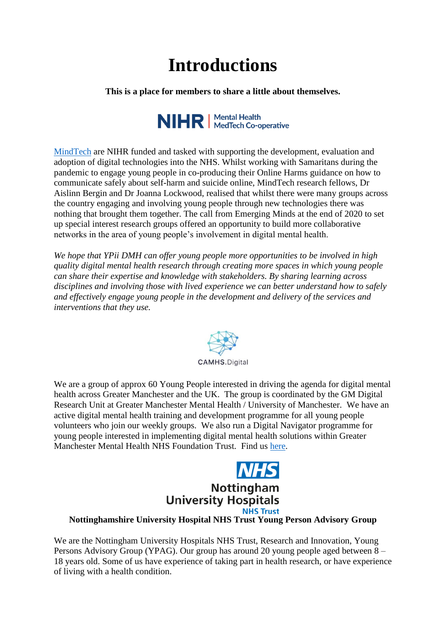# **Introductions**

**This is a place for members to share a little about themselves.**



[MindTech](https://www.mindtech.org.uk/) are NIHR funded and tasked with supporting the development, evaluation and adoption of digital technologies into the NHS. Whilst working with Samaritans during the pandemic to engage young people in co-producing their Online Harms guidance on how to communicate safely about self-harm and suicide online, MindTech research fellows, Dr Aislinn Bergin and Dr Joanna Lockwood, realised that whilst there were many groups across the country engaging and involving young people through new technologies there was nothing that brought them together. The call from Emerging Minds at the end of 2020 to set up special interest research groups offered an opportunity to build more collaborative networks in the area of young people's involvement in digital mental health.

*We hope that YPii DMH can offer young people more opportunities to be involved in high quality digital mental health research through creating more spaces in which young people can share their expertise and knowledge with stakeholders. By sharing learning across disciplines and involving those with lived experience we can better understand how to safely and effectively engage young people in the development and delivery of the services and interventions that they use.* 



We are a group of approx 60 Young People interested in driving the agenda for digital mental health across Greater Manchester and the UK. The group is coordinated by the GM Digital Research Unit at Greater Manchester Mental Health / University of Manchester. We have an active digital mental health training and development programme for all young people volunteers who join our weekly groups. We also run a Digital Navigator programme for young people interested in implementing digital mental health solutions within Greater Manchester Mental Health NHS Foundation Trust. Find us [here.](http://www.camhs.digital/)



### **Nottinghamshire University Hospital NHS Trust Young Person Advisory Group**

We are the Nottingham University Hospitals NHS Trust, Research and Innovation, Young Persons Advisory Group (YPAG). Our group has around 20 young people aged between 8 – 18 years old. Some of us have experience of taking part in health research, or have experience of living with a health condition.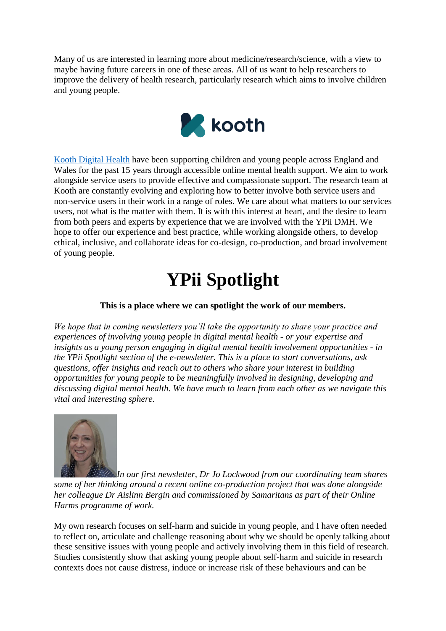Many of us are interested in learning more about medicine/research/science, with a view to maybe having future careers in one of these areas. All of us want to help researchers to improve the delivery of health research, particularly research which aims to involve children and young people.



[Kooth Digital Health](http://koothplc.com/) have been supporting children and young people across England and Wales for the past 15 years through accessible online mental health support. We aim to work alongside service users to provide effective and compassionate support. The research team at Kooth are constantly evolving and exploring how to better involve both service users and non-service users in their work in a range of roles. We care about what matters to our services users, not what is the matter with them. It is with this interest at heart, and the desire to learn from both peers and experts by experience that we are involved with the YPii DMH. We hope to offer our experience and best practice, while working alongside others, to develop ethical, inclusive, and collaborate ideas for co-design, co-production, and broad involvement of young people.

## **YPii Spotlight**

### **This is a place where we can spotlight the work of our members.**

*We hope that in coming newsletters you'll take the opportunity to share your practice and experiences of involving young people in digital mental health - or your expertise and insights as a young person engaging in digital mental health involvement opportunities - in the YPii Spotlight section of the e-newsletter. This is a place to start conversations, ask questions, offer insights and reach out to others who share your interest in building opportunities for young people to be meaningfully involved in designing, developing and discussing digital mental health. We have much to learn from each other as we navigate this vital and interesting sphere.* 



*In our first newsletter, Dr Jo Lockwood from our coordinating team shares some of her thinking around a recent online co-production project that was done alongside her colleague Dr Aislinn Bergin and commissioned by Samaritans as part of their Online Harms programme of work.*

My own research focuses on self-harm and suicide in young people, and I have often needed to reflect on, articulate and challenge reasoning about why we should be openly talking about these sensitive issues with young people and actively involving them in this field of research. Studies consistently show that asking young people about self-harm and suicide in research contexts does not cause distress, induce or increase risk of these behaviours and can be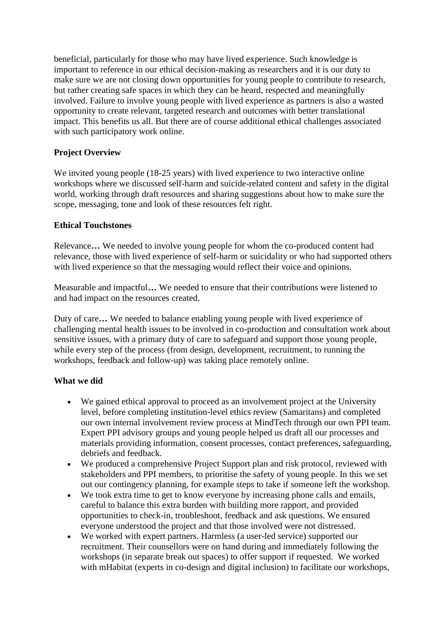beneficial, particularly for those who may have lived experience. Such knowledge is important to reference in our ethical decision-making as researchers and it is our duty to make sure we are not closing down opportunities for young people to contribute to research, but rather creating safe spaces in which they can be heard, respected and meaningfully involved. Failure to involve young people with lived experience as partners is also a wasted opportunity to create relevant, targeted research and outcomes with better translational impact. This benefits us all. But there are of course additional ethical challenges associated with such participatory work online.

### **Project Overview**

We invited young people (18-25 years) with lived experience to two interactive online workshops where we discussed self-harm and suicide-related content and safety in the digital world, working through draft resources and sharing suggestions about how to make sure the scope, messaging, tone and look of these resources felt right.

#### **Ethical Touchstones**

Relevance**…** We needed to involve young people for whom the co-produced content had relevance, those with lived experience of self-harm or suicidality or who had supported others with lived experience so that the messaging would reflect their voice and opinions.

Measurable and impactful**…** We needed to ensure that their contributions were listened to and had impact on the resources created.

Duty of care**…** We needed to balance enabling young people with lived experience of challenging mental health issues to be involved in co-production and consultation work about sensitive issues, with a primary duty of care to safeguard and support those young people, while every step of the process (from design, development, recruitment, to running the workshops, feedback and follow-up) was taking place remotely online.

#### **What we did**

- We gained ethical approval to proceed as an involvement project at the University level, before completing institution-level ethics review (Samaritans) and completed our own internal involvement review process at MindTech through our own PPI team. Expert PPI advisory groups and young people helped us draft all our processes and materials providing information, consent processes, contact preferences, safeguarding, debriefs and feedback.
- We produced a comprehensive Project Support plan and risk protocol, reviewed with stakeholders and PPI members, to prioritise the safety of young people. In this we set out our contingency planning, for example steps to take if someone left the workshop.
- We took extra time to get to know everyone by increasing phone calls and emails, careful to balance this extra burden with building more rapport, and provided opportunities to check-in, troubleshoot, feedback and ask questions. We ensured everyone understood the project and that those involved were not distressed.
- We worked with expert partners. Harmless (a user-led service) supported our recruitment. Their counsellors were on hand during and immediately following the workshops (in separate break out spaces) to offer support if requested. We worked with mHabitat (experts in co-design and digital inclusion) to facilitate our workshops,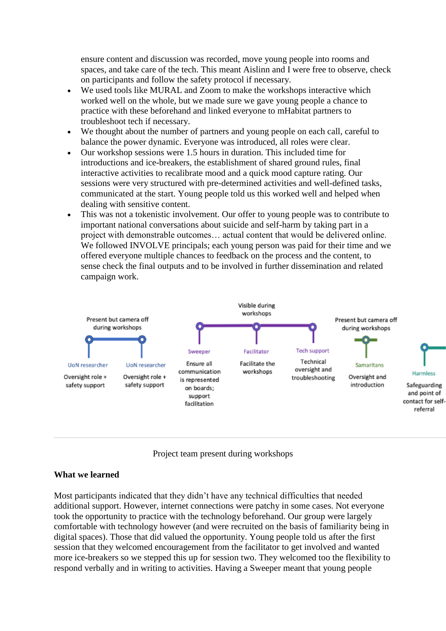ensure content and discussion was recorded, move young people into rooms and spaces, and take care of the tech. This meant Aislinn and I were free to observe, check on participants and follow the safety protocol if necessary.

- We used tools like MURAL and Zoom to make the workshops interactive which worked well on the whole, but we made sure we gave young people a chance to practice with these beforehand and linked everyone to mHabitat partners to troubleshoot tech if necessary.
- We thought about the number of partners and young people on each call, careful to balance the power dynamic. Everyone was introduced, all roles were clear.
- Our workshop sessions were 1.5 hours in duration. This included time for introductions and ice-breakers, the establishment of shared ground rules, final interactive activities to recalibrate mood and a quick mood capture rating. Our sessions were very structured with pre-determined activities and well-defined tasks, communicated at the start. Young people told us this worked well and helped when dealing with sensitive content.
- This was not a tokenistic involvement. Our offer to young people was to contribute to important national conversations about suicide and self-harm by taking part in a project with demonstrable outcomes… actual content that would be delivered online. We followed INVOLVE principals; each young person was paid for their time and we offered everyone multiple chances to feedback on the process and the content, to sense check the final outputs and to be involved in further dissemination and related campaign work.





#### **What we learned**

Most participants indicated that they didn't have any technical difficulties that needed additional support. However, internet connections were patchy in some cases. Not everyone took the opportunity to practice with the technology beforehand. Our group were largely comfortable with technology however (and were recruited on the basis of familiarity being in digital spaces). Those that did valued the opportunity. Young people told us after the first session that they welcomed encouragement from the facilitator to get involved and wanted more ice-breakers so we stepped this up for session two. They welcomed too the flexibility to respond verbally and in writing to activities. Having a Sweeper meant that young people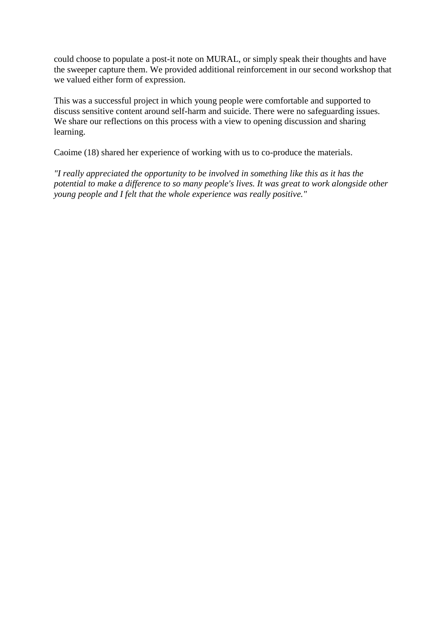could choose to populate a post-it note on MURAL, or simply speak their thoughts and have the sweeper capture them. We provided additional reinforcement in our second workshop that we valued either form of expression.

This was a successful project in which young people were comfortable and supported to discuss sensitive content around self-harm and suicide. There were no safeguarding issues. We share our reflections on this process with a view to opening discussion and sharing learning.

Caoime (18) shared her experience of working with us to co-produce the materials.

*"I really appreciated the opportunity to be involved in something like this as it has the potential to make a difference to so many people's lives. It was great to work alongside other young people and I felt that the whole experience was really positive."*